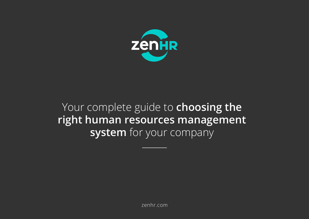

# Your complete guide to **choosing the right human resources management system** for your company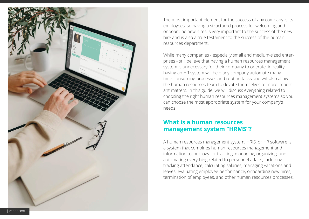

The most important element for the success of any company is its employees, so having a structured process for welcoming and onboarding new hires is very important to the success of the new hire and is also a true testament to the success of the human resources department.

While many companies - especially small and medium-sized enterprises - still believe that having a human resources management system is unnecessary for their company to operate, in reality, having an HR system will help any company automate many time-consuming processes and routine tasks and will also allow the human resources team to devote themselves to more important matters. In this guide, we will discuss everything related to choosing the right human resources management systems so you can choose the most appropriate system for your company's needs.

### **What is a human resources management system "HRMS"?**

A human resources management system, HRIS, or HR software is a system that combines human resources management and information technology for tracking, managing, organizing, and automating everything related to personnel affairs, including tracking attendance, calculating salaries, managing vacations and leaves, evaluating employee performance, onboarding new hires, termination of employees, and other human resources processes.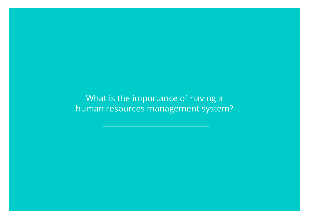What is the importance of having a human resources management system?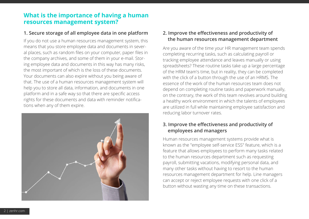## **What is the importance of having a human resources management system?**

#### **1. Secure storage of all employee data in one platform 2. Improve the effectiveness and productivity of**

If you do not use a human resources management system, this means that you store employee data and documents in several places, such as random files on your computer, paper files in the company archives, and some of them in your e-mail. Storing employee data and documents in this way has many risks, the most important of which is the loss of these documents. Your documents can also expire without you being aware of that. The use of a human resources management system will help you to store all data, information, and documents in one platform and in a safe way so that there are specific access rights for these documents and data with reminder notifications when any of them expire.



# **the human resources management department**

Are you aware of the time your HR management team spends completing recurring tasks, such as calculating payroll or tracking employee attendance and leaves manually or using spreadsheets? These routine tasks take up a large percentage of the HRM team's time, but in reality, they can be completed with the click of a button through the use of an HRMS. The essence of the work of the human resources team does not depend on completing routine tasks and paperwork manually, on the contrary, the work of this team revolves around building a healthy work environment in which the talents of employees are utilized in full while maintaining employee satisfaction and reducing labor turnover rates.

#### **3. Improve the effectiveness and productivity of employees and managers**

Human resources management systems provide what is known as the "employee self-service ESS" feature, which is a feature that allows employees to perform many tasks related to the human resources department such as requesting payroll, submitting vacations, modifying personal data, and many other tasks without having to resort to the human resources management department for help. Line managers can accept or reject employee requests with one click of a button without wasting any time on these transactions.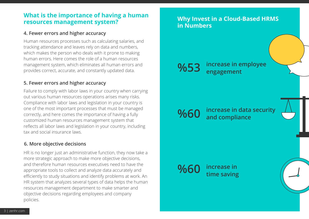### **What is the importance of having a human resources management system?**

#### **4. Fewer errors and higher accuracy**

Human resources processes such as calculating salaries, and tracking attendance and leaves rely on data and numbers, which makes the person who deals with it prone to making human errors. Here comes the role of a human resources management system, which eliminates all human errors and provides correct, accurate, and constantly updated data.

#### **5. Fewer errors and higher accuracy**

Failure to comply with labor laws in your country when carrying out various human resources operations arises many risks. Compliance with labor laws and legislation in your country is one of the most important processes that must be managed correctly, and here comes the importance of having a fully customized human resources management system that reflects all labor laws and legislation in your country, including tax and social insurance laws.

#### **6. More objective decisions**

HR is no longer just an administrative function, they now take a more strategic approach to make more objective decisions, and therefore human resources executives need to have the appropriate tools to collect and analyze data accurately and efficiently to study situations and identify problems at work. An HR system that analyzes several types of data helps the human resources management department to make smarter and objective decisions regarding employees and company policies.

# **Why Invest in a Cloud-Based HRMS in Numbers increase in employee %53 engagement increase in data security and compliance increase in time saving %60 %60**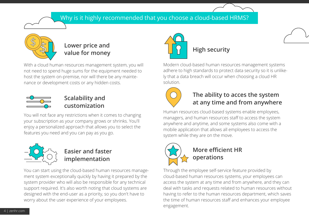# Why is it highly recommended that you choose a cloud-based HRMS?



# **Lower price and value for money**

With a cloud human resources management system, you will not need to spend huge sums for the equipment needed to host the system on-premise, nor will there be any maintenance or development costs or any hidden costs.



# **Scalability and customization**

You will not face any restrictions when it comes to changing your subscription as your company grows or shrinks. You'll enjoy a personalized approach that allows you to select the features you need and you can pay as you go.



# **Easier and faster implementation**

You can start using the cloud-based human resources management system exceptionally quickly by having it prepared by the system provider who will also be responsible for any technical support required. It's also worth noting that cloud systems are designed with the end-user as a priority, so you don't have to worry about the user experience of your employees.



Modern cloud-based human resources management systems adhere to high standards to protect data security so it is unlikely that a data breach will occur when choosing a cloud HR solution.



# **The ability to acces the system at any time and from anywhere**

Human resources cloud-based systems enable employees, managers, and human resources staff to access the system anywhere and anytime, and some systems also come with a mobile application that allows all employees to access the system while they are on the move.



# **More efficient HR operations**

Through the employee self-service feature provided by cloud-based human resources systems, your employees can access the system at any time and from anywhere, and they can deal with tasks and requests related to human resources without having to refer to the human resources department, which saves the time of human resources staff and enhances your employee engagement.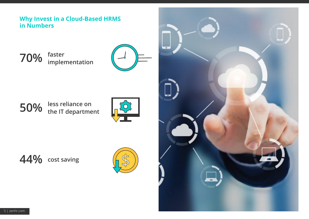## **Why Invest in a Cloud-Based HRMS in Numbers**

**70% faster implementation**



**50% less reliance on the IT department**



**44% cost saving**



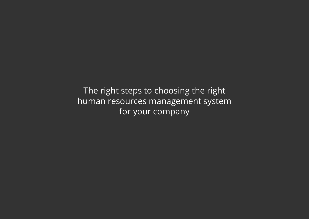The right steps to choosing the right human resources management system for your company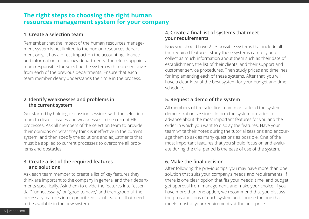## **The right steps to choosing the right human resources management system for your company**

#### **1. Create a selection team**

Remember that the impact of the human resources management system is not limited to the human resources department only, it has a direct impact on the accounting, finance, and information technology departments. Therefore, appoint a team responsible for selecting the system with representatives from each of the previous departments. Ensure that each team member clearly understands their role in the process.

#### **2. Identify weaknesses and problems in the current system**

Get started by holding discussion sessions with the selection team to discuss issues and weaknesses in the current HR processes. Ask all members of the selection team to provide their opinions on what they think is ineffective in the current system, and then specify the solutions and adjustments that must be applied to current processes to overcome all problems and obstacles.

#### **3. Create a list of the required features and solutions**

Ask each team member to create a list of key features they think are important to the company in general and their departments specifically. Ask them to divide the features into "essential," "unnecessary," or "good to have," and then group all the necessary features into a prioritized list of features that need to be available in the new system.

#### **4. Create a final list of systems that meet your requirements**

Now you should have 2 - 3 possible systems that include all the required features. Study these systems carefully and collect as much information about them such as their date of establishment, the list of their clients, and their support and customer service procedures. Then study prices and timelines for implementing each of these systems. After that, you will have a clear idea of the best system for your budget and time schedule.

#### **5. Request a demo of the system**

All members of the selection team must attend the system demonstration sessions. Inform the system provider in advance about the most important features for you and the order in which you want to display the features. Have your team write their notes during the tutorial sessions and encourage them to ask as many questions as possible. One of the most important features that you should focus on and evaluate during the trial period is the ease of use of the system.

#### **6. Make the final decision**

After following the previous tips, you may have more than one solution that suits your company's needs and requirements. If there is one clear option that fits your needs, time, and budget, get approval from management, and make your choice. If you have more than one option, we recommend that you discuss the pros and cons of each system and choose the one that meets most of your requirements at the best price.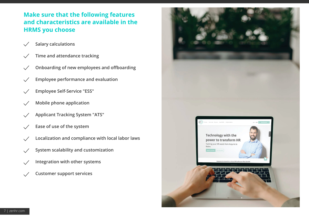# **Make sure that the following features and characteristics are available in the HRMS you choose**

- **Salary calculations**  $\checkmark$
- **Time and attendance tracking**  $\checkmark$
- **Onboarding of new employees and offboarding**  $\checkmark$
- **Employee performance and evaluation**
- **Employee Self-Service "ESS"**
- **Mobile phone application**
- **Applicant Tracking System "ATS"**
- **Ease of use of the system**
- **Localization and compliance with local labor laws**  $\checkmark$
- **System scalability and customization**  $\checkmark$
- **Integration with other systems**  $\checkmark$
- **Customer support services** $\checkmark$